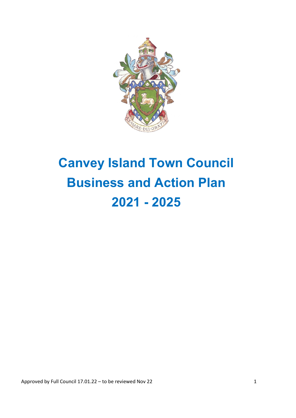

# **Canvey Island Town Council Business and Action Plan 2021 - 2025**

Approved by Full Council 17.01.22 – to be reviewed Nov 22 1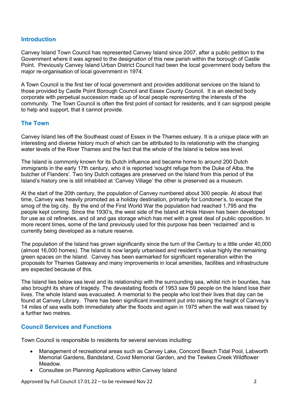#### **Introduction**

Canvey Island Town Council has represented Canvey Island since 2007, after a public petition to the Government where it was agreed to the designation of this new parish within the borough of Castle Point. Previously Canvey Island Urban District Council had been the local government body before the major re-organisation of local government in 1974.

A Town Council is the first tier of local government and provides additional services on the Island to those provided by Castle Point Borough Council and Essex County Council. It is an elected body corporate with perpetual succession made up of local people representing the interests of the community. The Town Council is often the first point of contact for residents, and it can signpost people to help and support, that it cannot provide.

#### **The Town**

Canvey Island lies off the Southeast coast of Essex in the Thames estuary. It is a unique place with an interesting and diverse history much of which can be attributed to its relationship with the changing water levels of the River Thames and the fact that the whole of the Island is below sea level.

The Island is commonly known for its Dutch influence and became home to around 200 Dutch immigrants in the early 17th century, who it is reported 'sought refuge from the Duke of Alba, the butcher of Flanders'. Two tiny Dutch cottages are preserved on the Island from this period of the Island's history one is still inhabited at 'Canvey Village' the other is preserved as a museum.

At the start of the 20th century, the population of Canvey numbered about 300 people. At about that time, Canvey was heavily promoted as a holiday destination, primarily for Londoner's, to escape the smog of the big city. By the end of the First World War the population had reached 1,795 and the people kept coming. Since the 1930's, the west side of the Island at Hole Haven has been developed for use as oil refineries, and oil and gas storage which has met with a great deal of public opposition. In more recent times, some of the land previously used for this purpose has been 'reclaimed' and is currently being developed as a nature reserve.

The population of the Island has grown significantly since the turn of the Century to a little under 40,000 (almost 16,000 homes). The Island is now largely urbanised and resident's value highly the remaining green spaces on the Island. Canvey has been earmarked for significant regeneration within the proposals for Thames Gateway and many improvements in local amenities, facilities and infrastructure are expected because of this.

The Island lies below sea level and its relationship with the surrounding sea, whilst rich in bounties, has also brought its share of tragedy. The devastating floods of 1953 saw 59 people on the Island lose their lives. The whole Island was evacuated. A memorial to the people who lost their lives that day can be found at Canvey Library. There has been significant investment put into raising the height of Canvey's 14 miles of sea walls both immediately after the floods and again in 1975 when the wall was raised by a further two metres.

#### **Council Services and Functions**

Town Council is responsible to residents for several services including:

- Management of recreational areas such as Canvey Lake, Concord Beach Tidal Pool, Labworth Memorial Gardens, Bandstand, Covid Memorial Garden, and the Tewkes Creek Wildflower Meadow.
- Consultee on Planning Applications within Canvey Island

Approved by Full Council 17.01.22 – to be reviewed Nov 22 2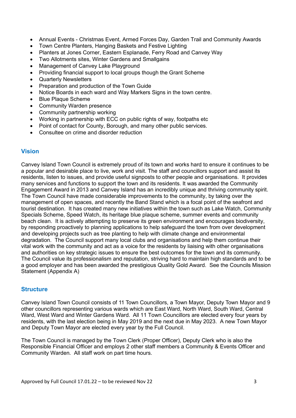- Annual Events Christmas Event, Armed Forces Day, Garden Trail and Community Awards
- Town Centre Planters, Hanging Baskets and Festive Lighting
- Planters at Jones Corner, Eastern Esplanade, Ferry Road and Canvey Way
- Two Allotments sites, Winter Gardens and Smallgains
- Management of Canvey Lake Playground
- Providing financial support to local groups though the Grant Scheme
- **Quarterly Newsletters**
- Preparation and production of the Town Guide
- Notice Boards in each ward and Way Markers Signs in the town centre.
- Blue Plaque Scheme
- Community Warden presence
- Community partnership working
- Working in partnership with ECC on public rights of way, footpaths etc
- Point of contact for County, Borough, and many other public services.
- Consultee on crime and disorder reduction

# **Vision**

Canvey Island Town Council is extremely proud of its town and works hard to ensure it continues to be a popular and desirable place to live, work and visit. The staff and councillors support and assist its residents, listen to issues, and provide useful signposts to other people and organisations. It provides many services and functions to support the town and its residents. It was awarded the Community Engagement Award in 2013 and Canvey Island has an incredibly unique and thriving community spirit. The Town Council have made considerable improvements to the community, by taking over the management of open spaces, and recently the Band Stand which is a focal point of the seafront and tourist destination. It has created many new initiatives within the town such as Lake Watch, Community Specials Scheme, Speed Watch, its heritage blue plaque scheme, summer events and community beach clean. It is actively attempting to preserve its green environment and encourages biodiversity, by responding proactively to planning applications to help safeguard the town from over development and developing projects such as tree planting to help with climate change and environmental degradation. The Council support many local clubs and organisations and help them continue their vital work with the community and act as a voice for the residents by liaising with other organisations and authorities on key strategic issues to ensure the best outcomes for the town and its community. The Council value its professionalism and reputation, striving hard to maintain high standards and to be a good employer and has been awarded the prestigious Quality Gold Award. See the Councils Mission Statement (Appendix A)

# **Structure**

Canvey Island Town Council consists of 11 Town Councillors, a Town Mayor, Deputy Town Mayor and 9 other councillors representing various wards which are East Ward, North Ward, South Ward, Central Ward, West Ward and Winter Gardens Ward. All 11 Town Councillors are elected every four years by residents, with the last election being in May 2019 and the next due in May 2023. A new Town Mayor and Deputy Town Mayor are elected every year by the Full Council.

The Town Council is managed by the Town Clerk (Proper Officer), Deputy Clerk who is also the Responsible Financial Officer and employs 2 other staff members a Community & Events Officer and Community Warden. All staff work on part time hours.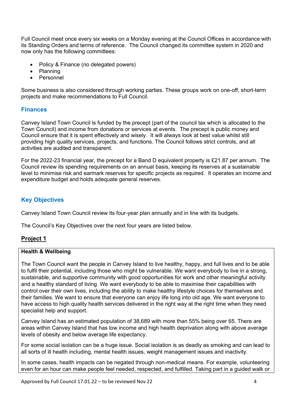Full Council meet once every six weeks on a Monday evening at the Council Offices in accordance with its Standing Orders and terms of reference. The Council changed its committee system in 2020 and now only has the following committees:

- Policy & Finance (no delegated powers)
- Planning
- Personnel

Some business is also considered through working parties. These groups work on one-off, short-term projects and make recommendations to Full Council.

#### **Finances**

Canvey Island Town Council is funded by the precept (part of the council tax which is allocated to the Town Council) and income from donations or services at events. The precept is public money and Council ensure that it is spent effectively and wisely. It will always look at best value whilst still providing high quality services, projects, and functions. The Council follows strict controls, and all activities are audited and transparent.

For the 2022-23 financial year, the precept for a Band D equivalent property is £21.87 per annum. The Council review its spending requirements on an annual basis, keeping its reserves at a sustainable level to minimise risk and earmark reserves for specific projects as required. It operates an income and expenditure budget and holds adequate general reserves.

# **Key Objectives**

Canvey Island Town Council review its four-year plan annually and in line with its budgets.

The Council's Key Objectives over the next four years are listed below.

# **Project 1**

#### **Health & Wellbeing**

The Town Council want the people in Canvey Island to live healthy, happy, and full lives and to be able to fulfil their potential, including those who might be vulnerable. We want everybody to live in a strong, sustainable, and supportive community with good opportunities for work and other meaningful activity and a healthy standard of living. We want everybody to be able to maximise their capabilities with control over their own lives, including the ability to make healthy lifestyle choices for themselves and their families. We want to ensure that everyone can enjoy life long into old age. We want everyone to have access to high quality health services delivered in the right way at the right time when they need specialist help and support.

Canvey Island has an estimated population of 38,689 with more than 55% being over 65. There are areas within Canvey Island that has low income and high health deprivation along with above average levels of obesity and below average life expectancy.

For some social isolation can be a huge issue. Social isolation is as deadly as smoking and can lead to all sorts of ill health including, mental health issues, weight management issues and inactivity.

In some cases, health impacts can be negated through non-medical means. For example, volunteering even for an hour can make people feel needed, respected, and fulfilled. Taking part in a guided walk or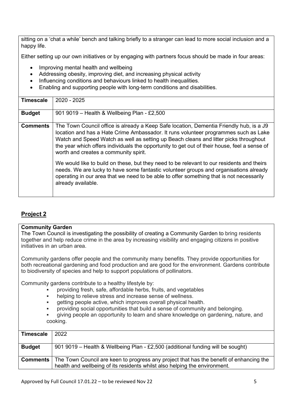sitting on a 'chat a while' bench and talking briefly to a stranger can lead to more social inclusion and a happy life.

Either setting up our own initiatives or by engaging with partners focus should be made in four areas:

- Improving mental health and wellbeing
- Addressing obesity, improving diet, and increasing physical activity
- Influencing conditions and behaviours linked to health inequalities.
- Enabling and supporting people with long-term conditions and disabilities.

| <b>Timescale</b> | 2020 - 2025                                                                                                                                                                                                                                                                                                                                                                                                     |
|------------------|-----------------------------------------------------------------------------------------------------------------------------------------------------------------------------------------------------------------------------------------------------------------------------------------------------------------------------------------------------------------------------------------------------------------|
| <b>Budget</b>    | 901 9019 - Health & Wellbeing Plan - £2,500                                                                                                                                                                                                                                                                                                                                                                     |
| <b>Comments</b>  | The Town Council office is already a Keep Safe location, Dementia Friendly hub, is a J9<br>location and has a Hate Crime Ambassador. It runs volunteer programmes such as Lake<br>Watch and Speed Watch as well as setting up Beach cleans and litter picks throughout<br>the year which offers individuals the opportunity to get out of their house, feel a sense of<br>worth and creates a community spirit. |
|                  | We would like to build on these, but they need to be relevant to our residents and theirs<br>needs. We are lucky to have some fantastic volunteer groups and organisations already<br>operating in our area that we need to be able to offer something that is not necessarily<br>already available.                                                                                                            |

# **Project 2**

#### **Community Garden**

The Town Council is investigating the possibility of creating a Community Garden to bring residents together and help reduce crime in the area by increasing visibility and engaging citizens in positive initiatives in an urban area.

Community gardens offer people and the community many benefits. They provide opportunities for both recreational gardening and food production and are good for the environment. Gardens contribute to biodiversity of species and help to support populations of pollinators.

Community gardens contribute to a healthy lifestyle by:

- providing fresh, safe, affordable herbs, fruits, and vegetables
- helping to relieve stress and increase sense of wellness.
- getting people active, which improves overall physical health.
- providing social opportunities that build a sense of community and belonging.

giving people an opportunity to learn and share knowledge on gardening, nature, and cooking.

| <b>Timescale</b> | 2022                                                                                                      |
|------------------|-----------------------------------------------------------------------------------------------------------|
|                  |                                                                                                           |
|                  |                                                                                                           |
| <b>Budget</b>    | 901 9019 – Health & Wellbeing Plan - £2,500 (additional funding will be sought)                           |
|                  |                                                                                                           |
|                  |                                                                                                           |
|                  | <b>Comments</b>   The Town Council are keen to progress any project that has the benefit of enhancing the |
|                  |                                                                                                           |
|                  | health and wellbeing of its residents whilst also helping the environment.                                |
|                  |                                                                                                           |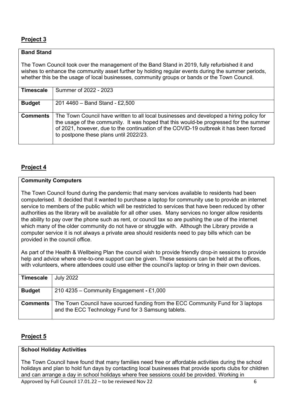# **Project 3**

### **Band Stand**

The Town Council took over the management of the Band Stand in 2019, fully refurbished it and wishes to enhance the community asset further by holding regular events during the summer periods, whether this be the usage of local businesses, community groups or bands or the Town Council.

| <b>Timescale</b> | Summer of 2022 - 2023                                                                                                                                                                                                                                                                                               |
|------------------|---------------------------------------------------------------------------------------------------------------------------------------------------------------------------------------------------------------------------------------------------------------------------------------------------------------------|
| <b>Budget</b>    | 201 4460 - Band Stand - £2,500                                                                                                                                                                                                                                                                                      |
| <b>Comments</b>  | The Town Council have written to all local businesses and developed a hiring policy for<br>the usage of the community. It was hoped that this would-be progressed for the summer<br>of 2021, however, due to the continuation of the COVID-19 outbreak it has been forced<br>to postpone these plans until 2022/23. |

# **Project 4**

#### **Community Computers**

The Town Council found during the pandemic that many services available to residents had been computerised. It decided that it wanted to purchase a laptop for community use to provide an internet service to members of the public which will be restricted to services that have been reduced by other authorities as the library will be available for all other uses. Many services no longer allow residents the ability to pay over the phone such as rent, or council tax so are pushing the use of the internet which many of the older community do not have or struggle with. Although the Library provide a computer service it is not always a private area should residents need to pay bills which can be provided in the council office.

As part of the Health & Wellbeing Plan the council wish to provide friendly drop-in sessions to provide help and advice where one-to-one support can be given. These sessions can be held at the offices, with volunteers, where attendees could use either the council's laptop or bring in their own devices.

| <b>Timescale</b> | <b>July 2022</b>                                                                                                                      |
|------------------|---------------------------------------------------------------------------------------------------------------------------------------|
| <b>Budget</b>    | 210 4235 – Community Engagement - £1,000                                                                                              |
| <b>Comments</b>  | The Town Council have sourced funding from the ECC Community Fund for 3 laptops<br>and the ECC Technology Fund for 3 Samsung tablets. |

# **Project 5**

#### **School Holiday Activities**

The Town Council have found that many families need free or affordable activities during the school holidays and plan to hold fun days by contacting local businesses that provide sports clubs for children and can arrange a day in school holidays where free sessions could be provided. Working in

Approved by Full Council 17.01.22 – to be reviewed Nov 22 6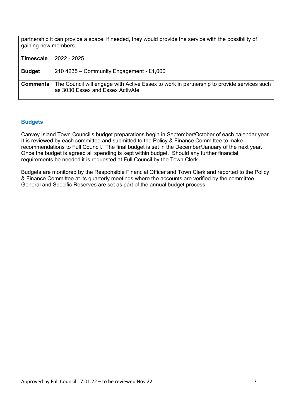partnership it can provide a space, if needed, they would provide the service with the possibility of gaining new members.

| 2022 - 2025                                                                                                                      |
|----------------------------------------------------------------------------------------------------------------------------------|
|                                                                                                                                  |
| 210 4235 – Community Engagement - £1,000                                                                                         |
|                                                                                                                                  |
| The Council will engage with Active Essex to work in partnership to provide services such  <br>as 3030 Essex and Essex ActivAte. |
|                                                                                                                                  |

#### **Budgets**

Canvey Island Town Council's budget preparations begin in September/October of each calendar year. It is reviewed by each committee and submitted to the Policy & Finance Committee to make recommendations to Full Council. The final budget is set in the December/January of the next year. Once the budget is agreed all spending is kept within budget. Should any further financial requirements be needed it is requested at Full Council by the Town Clerk.

Budgets are monitored by the Responsible Financial Officer and Town Clerk and reported to the Policy & Finance Committee at its quarterly meetings where the accounts are verified by the committee. General and Specific Reserves are set as part of the annual budget process.